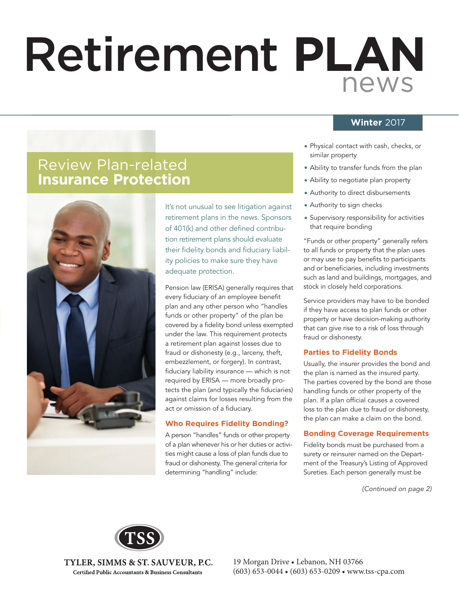# Retirement **PLAN** news

### **Winter** 2017

- Physical contact with cash, checks, or similar property
- Ability to transfer funds from the plan
- Ability to negotiate plan property
- Authority to direct disbursements
- Authority to sign checks
- Supervisory responsibility for activities that require bonding

"Funds or other property" generally refers to all funds or property that the plan uses or may use to pay benefits to participants and or beneficiaries, including investments such as land and buildings, mortgages, and stock in closely held corporations.

Service providers may have to be bonded if they have access to plan funds or other property or have decision-making authority that can give rise to a risk of loss through fraud or dishonesty.

### **Parties to Fidelity Bonds**

Usually, the insurer provides the bond and the plan is named as the insured party. The parties covered by the bond are those handling funds or other property of the plan. If a plan official causes a covered loss to the plan due to fraud or dishonesty, the plan can make a claim on the bond.

### **Bonding Coverage Requirements**

Fidelity bonds must be purchased from a surety or reinsurer named on the Department of the Treasury's Listing of Approved Sureties. Each person generally must be

*(Continued on page 2)*

### Review Plan-related **Insurance Protection**



It's not unusual to see litigation against retirement plans in the news. Sponsors of 401(k) and other defined contribution retirement plans should evaluate their fidelity bonds and fiduciary liability policies to make sure they have adequate protection.

Pension law (ERISA) generally requires that every fiduciary of an employee benefit plan and any other person who "handles funds or other property" of the plan be covered by a fidelity bond unless exempted under the law. This requirement protects a retirement plan against losses due to fraud or dishonesty (e.g., larceny, theft, embezzlement, or forgery). In contrast, fiduciary liability insurance - which is not required by ERISA — more broadly protects the plan (and typically the fiduciaries) against claims for losses resulting from the act or omission of a fiduciary.

### **Who Requires Fidelity Bonding?**

A person "handles" funds or other property of a plan whenever his or her duties or activities might cause a loss of plan funds due to fraud or dishonesty. The general criteria for determining "handling" include:



TYLER, SIMMS & ST. SAUVEUR, P.C. **Certified Public Accountants & Business Consultants**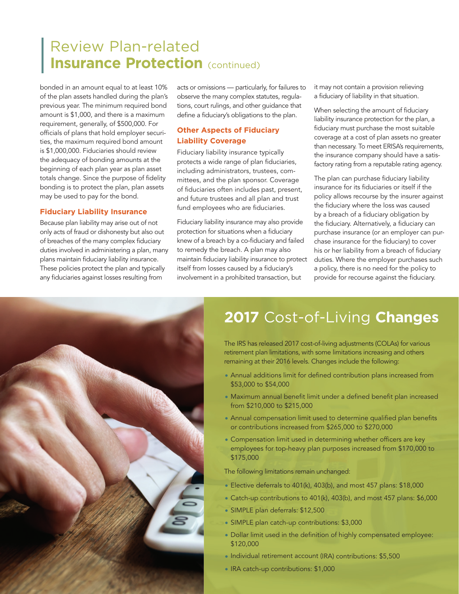### Review Plan-related **Insurance Protection** (continued)

bonded in an amount equal to at least 10% of the plan assets handled during the plan's previous year. The minimum required bond amount is \$1,000, and there is a maximum requirement, generally, of \$500,000. For officials of plans that hold employer securities, the maximum required bond amount is \$1,000,000. Fiduciaries should review the adequacy of bonding amounts at the beginning of each plan year as plan asset totals change. Since the purpose of fidelity bonding is to protect the plan, plan assets may be used to pay for the bond.

#### **Fiduciary Liability Insurance**

Because plan liability may arise out of not only acts of fraud or dishonesty but also out of breaches of the many complex fiduciary duties involved in administering a plan, many plans maintain fiduciary liability insurance. These policies protect the plan and typically any fiduciaries against losses resulting from

acts or omissions — particularly, for failures to observe the many complex statutes, regulations, court rulings, and other guidance that define a fiduciary's obligations to the plan.

### **Other Aspects of Fiduciary Liability Coverage**

Fiduciary liability insurance typically protects a wide range of plan fiduciaries, including administrators, trustees, committees, and the plan sponsor. Coverage of fiduciaries often includes past, present, and future trustees and all plan and trust fund employees who are fiduciaries.

Fiduciary liability insurance may also provide protection for situations when a fiduciary knew of a breach by a co-fiduciary and failed to remedy the breach. A plan may also maintain fiduciary liability insurance to protect itself from losses caused by a fiduciary's involvement in a prohibited transaction, but

it may not contain a provision relieving a fiduciary of liability in that situation.

When selecting the amount of fiduciary liability insurance protection for the plan, a fiduciary must purchase the most suitable coverage at a cost of plan assets no greater than necessary. To meet ERISA's requirements, the insurance company should have a satisfactory rating from a reputable rating agency.

The plan can purchase fiduciary liability insurance for its fiduciaries or itself if the policy allows recourse by the insurer against the fiduciary where the loss was caused by a breach of a fiduciary obligation by the fiduciary. Alternatively, a fiduciary can purchase insurance (or an employer can purchase insurance for the fiduciary) to cover his or her liability from a breach of fiduciary duties. Where the employer purchases such a policy, there is no need for the policy to provide for recourse against the fiduciary.



## **2017** Cost-of-Living **Changes**

The IRS has released 2017 cost-of-living adjustments (COLAs) for various retirement plan limitations, with some limitations increasing and others remaining at their 2016 levels. Changes include the following:

- Annual additions limit for defined contribution plans increased from \$53,000 to \$54,000
- Maximum annual benefit limit under a defined benefit plan increased from \$210,000 to \$215,000
- Annual compensation limit used to determine qualified plan benefits or contributions increased from \$265,000 to \$270,000
- Compensation limit used in determining whether officers are key employees for top-heavy plan purposes increased from \$170,000 to \$175,000

The following limitations remain unchanged:

- Elective deferrals to 401(k), 403(b), and most 457 plans: \$18,000
- Catch-up contributions to 401(k), 403(b), and most 457 plans: \$6,000
- SIMPLE plan deferrals: \$12,500
- SIMPLE plan catch-up contributions: \$3,000
- Dollar limit used in the definition of highly compensated employee: \$120,000
- Individual retirement account (IRA) contributions: \$5,500
- IRA catch-up contributions: \$1,000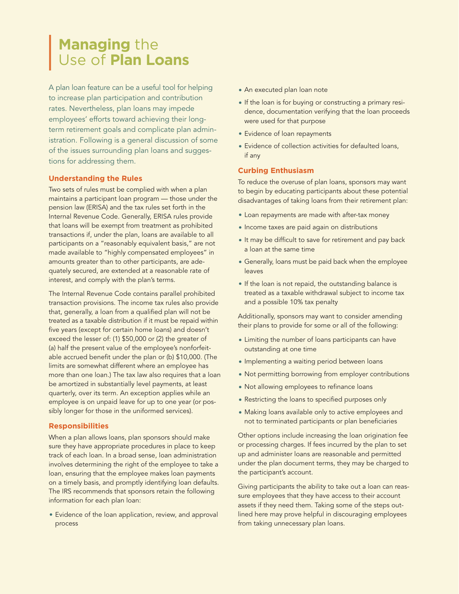### **Managing** the Use of **Plan Loans**

A plan loan feature can be a useful tool for helping to increase plan participation and contribution rates. Nevertheless, plan loans may impede employees' efforts toward achieving their longterm retirement goals and complicate plan administration. Following is a general discussion of some of the issues surrounding plan loans and suggestions for addressing them.

### **Understanding the Rules**

Two sets of rules must be complied with when a plan maintains a participant loan program — those under the pension law (ERISA) and the tax rules set forth in the Internal Revenue Code. Generally, ERISA rules provide that loans will be exempt from treatment as prohibited transactions if, under the plan, loans are available to all participants on a "reasonably equivalent basis," are not made available to "highly compensated employees" in amounts greater than to other participants, are adequately secured, are extended at a reasonable rate of interest, and comply with the plan's terms.

The Internal Revenue Code contains parallel prohibited transaction provisions. The income tax rules also provide that, generally, a loan from a qualified plan will not be treated as a taxable distribution if it must be repaid within five years (except for certain home loans) and doesn't exceed the lesser of: (1) \$50,000 or (2) the greater of (a) half the present value of the employee's nonforfeitable accrued benefit under the plan or (b) \$10,000. (The limits are somewhat different where an employee has more than one loan.) The tax law also requires that a loan be amortized in substantially level payments, at least quarterly, over its term. An exception applies while an employee is on unpaid leave for up to one year (or possibly longer for those in the uniformed services).

#### **Responsibilities**

When a plan allows loans, plan sponsors should make sure they have appropriate procedures in place to keep track of each loan. In a broad sense, loan administration involves determining the right of the employee to take a loan, ensuring that the employee makes loan payments on a timely basis, and promptly identifying loan defaults. The IRS recommends that sponsors retain the following information for each plan loan:

• Evidence of the loan application, review, and approval process

- An executed plan loan note
- If the loan is for buying or constructing a primary residence, documentation verifying that the loan proceeds were used for that purpose
- Evidence of loan repayments
- Evidence of collection activities for defaulted loans, if any

### **Curbing Enthusiasm**

To reduce the overuse of plan loans, sponsors may want to begin by educating participants about these potential disadvantages of taking loans from their retirement plan:

- Loan repayments are made with after-tax money
- Income taxes are paid again on distributions
- It may be difficult to save for retirement and pay back a loan at the same time
- Generally, loans must be paid back when the employee leaves
- If the loan is not repaid, the outstanding balance is treated as a taxable withdrawal subject to income tax and a possible 10% tax penalty

Additionally, sponsors may want to consider amending their plans to provide for some or all of the following:

- Limiting the number of loans participants can have outstanding at one time
- Implementing a waiting period between loans
- Not permitting borrowing from employer contributions
- Not allowing employees to refinance loans
- Restricting the loans to specified purposes only
- Making loans available only to active employees and not to terminated participants or plan beneficiaries

Other options include increasing the loan origination fee or processing charges. If fees incurred by the plan to set up and administer loans are reasonable and permitted under the plan document terms, they may be charged to the participant's account.

Giving participants the ability to take out a loan can reassure employees that they have access to their account assets if they need them. Taking some of the steps outlined here may prove helpful in discouraging employees from taking unnecessary plan loans.